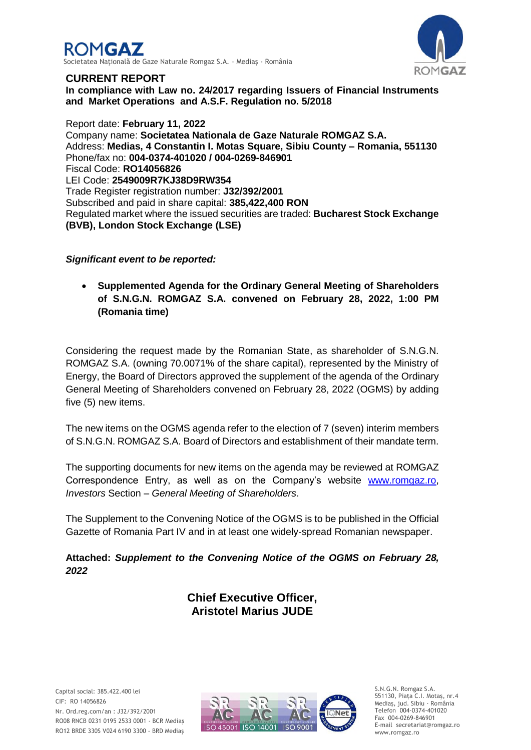



### **CURRENT REPORT**

**In compliance with Law no. 24/2017 regarding Issuers of Financial Instruments and Market Operations and A.S.F. Regulation no. 5/2018**

Report date: **February 11, 2022** Company name: **Societatea Nationala de Gaze Naturale ROMGAZ S.A.** Address: **Medias, 4 Constantin I. Motas Square, Sibiu County – Romania, 551130** Phone/fax no: **004-0374-401020 / 004-0269-846901** Fiscal Code: **RO14056826** LEI Code: **2549009R7KJ38D9RW354** Trade Register registration number: **J32/392/2001** Subscribed and paid in share capital: **385,422,400 RON** Regulated market where the issued securities are traded: **Bucharest Stock Exchange (BVB), London Stock Exchange (LSE)**

# *Significant event to be reported:*

 **Supplemented Agenda for the Ordinary General Meeting of Shareholders of S.N.G.N. ROMGAZ S.A. convened on February 28, 2022, 1:00 PM (Romania time)**

Considering the request made by the Romanian State, as shareholder of S.N.G.N. ROMGAZ S.A. (owning 70.0071% of the share capital), represented by the Ministry of Energy, the Board of Directors approved the supplement of the agenda of the Ordinary General Meeting of Shareholders convened on February 28, 2022 (OGMS) by adding five (5) new items.

The new items on the OGMS agenda refer to the election of 7 (seven) interim members of S.N.G.N. ROMGAZ S.A. Board of Directors and establishment of their mandate term.

The supporting documents for new items on the agenda may be reviewed at ROMGAZ Correspondence Entry, as well as on the Company's website [www.romgaz.ro,](http://infoweb/sites/sediuweb/SedSrvActionariat/Documente%20Interne/Raport%20curent%20-%20Completare%20Convocator%20AGEA%2015.01.2020/www.romgaz.ro) *Investors* Section – *General Meeting of Shareholders*.

The Supplement to the Convening Notice of the OGMS is to be published in the Official Gazette of Romania Part IV and in at least one widely-spread Romanian newspaper.

**Attached:** *Supplement to the Convening Notice of the OGMS on February 28, 2022*

> **Chief Executive Officer, Aristotel Marius JUDE**



S.N.G.N. Romgaz S.A. 551130, Piața C.I. Motaş, nr.4 Mediaş, jud. Sibiu - România Telefon 004-0374-401020 Fax 004-0269-846901 E-mail secretariat@romgaz.ro www.romgaz.ro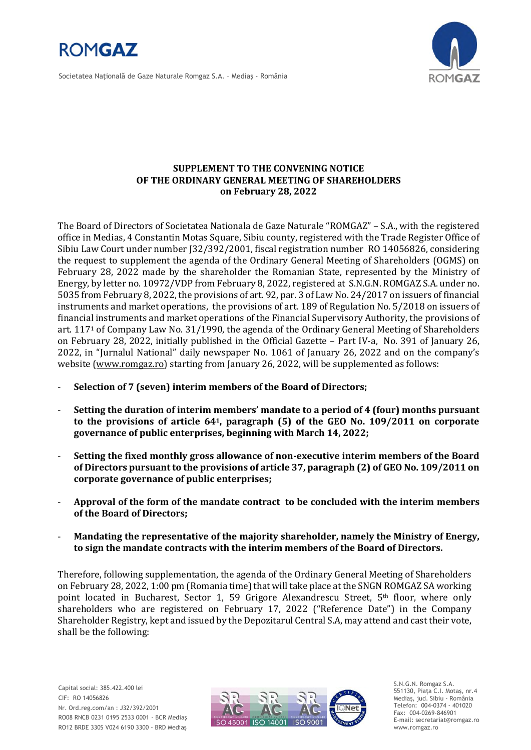

Societatea Naţională de Gaze Naturale Romgaz S.A. – Mediaş - România



### **SUPPLEMENT TO THE CONVENING NOTICE OF THE ORDINARY GENERAL MEETING OF SHAREHOLDERS on February 28, 2022**

The Board of Directors of Societatea Nationala de Gaze Naturale "ROMGAZ" – S.A., with the registered office in Medias, 4 Constantin Motas Square, Sibiu county, registered with the Trade Register Office of Sibiu Law Court under number J32/392/2001, fiscal registration number RO 14056826, considering the request to supplement the agenda of the Ordinary General Meeting of Shareholders (OGMS) on February 28, 2022 made by the shareholder the Romanian State, represented by the Ministry of Energy, by letter no. 10972/VDP from February 8, 2022, registered at S.N.G.N. ROMGAZ S.A. under no. 5035 from February 8, 2022, the provisions of art. 92, par. 3 of Law No. 24/2017 on issuers of financial instruments and market operations, the provisions of art. 189 of Regulation No. 5/2018 on issuers of financial instruments and market operations of the Financial Supervisory Authority, the provisions of art. 117<sup>1</sup> of Company Law No. 31/1990, the agenda of the Ordinary General Meeting of Shareholders on February 28, 2022, initially published in the Official Gazette – Part IV-a, No. 391 of January 26, 2022, in "Jurnalul National" daily newspaper No. 1061 of January 26, 2022 and on the company's website [\(www.romgaz.ro\)](http://www.romgaz.ro/) starting from January 26, 2022, will be supplemented as follows:

- **Selection of 7 (seven) interim members of the Board of Directors;**
- **Setting the duration of interim members' mandate to a period of 4 (four) months pursuant to the provisions of article 641, paragraph (5) of the GEO No. 109/2011 on corporate governance of public enterprises, beginning with March 14, 2022;**
- **Setting the fixed monthly gross allowance of non-executive interim members of the Board of Directors pursuant to the provisions of article 37, paragraph (2) of GEO No. 109/2011 on corporate governance of public enterprises;**
- **Approval of the form of the mandate contract to be concluded with the interim members of the Board of Directors;**
- **Mandating the representative of the majority shareholder, namely the Ministry of Energy, to sign the mandate contracts with the interim members of the Board of Directors.**

Therefore, following supplementation, the agenda of the Ordinary General Meeting of Shareholders on February 28, 2022, 1:00 pm (Romania time) that will take place at the SNGN ROMGAZ SA working point located in Bucharest, Sector 1, 59 Grigore Alexandrescu Street, 5<sup>th</sup> floor, where only shareholders who are registered on February 17, 2022 ("Reference Date") in the Company Shareholder Registry, kept and issued by the Depozitarul Central S.A, may attend and cast their vote, shall be the following:



S.N.G.N. Romgaz S.A. 551130, Piața C.I. Motaş, nr.4 Mediaş, jud. Sibiu - România Telefon: 004-0374 - 401020 Fax: 004-0269-846901 E-mail: secretariat@romgaz.ro www.romgaz.ro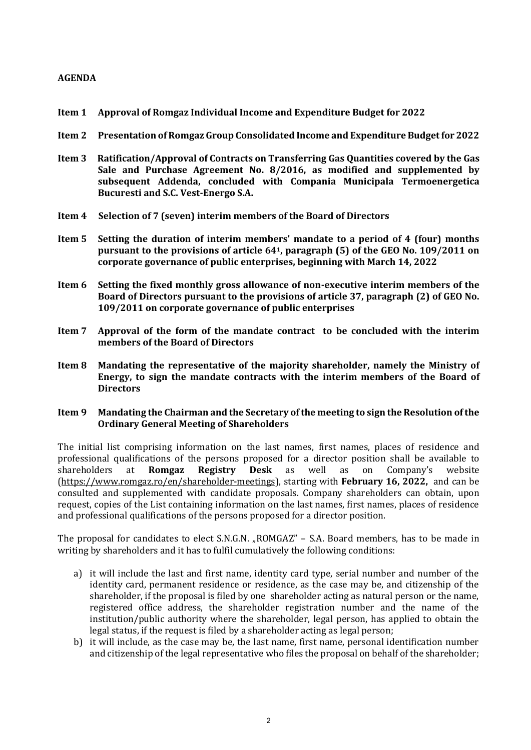### **AGENDA**

- **Item 1 Approval of Romgaz Individual Income and Expenditure Budget for 2022**
- **Item 2 Presentation of Romgaz Group Consolidated Income and Expenditure Budget for 2022**
- **Item 3 Ratification/Approval of Contracts on Transferring Gas Quantities covered by the Gas Sale and Purchase Agreement No. 8/2016, as modified and supplemented by subsequent Addenda, concluded with Compania Municipala Termoenergetica Bucuresti and S.C. Vest-Energo S.A.**
- **Item 4 Selection of 7 (seven) interim members of the Board of Directors**
- **Item 5 Setting the duration of interim members' mandate to a period of 4 (four) months pursuant to the provisions of article 641, paragraph (5) of the GEO No. 109/2011 on corporate governance of public enterprises, beginning with March 14, 2022**
- **Item 6 Setting the fixed monthly gross allowance of non-executive interim members of the Board of Directors pursuant to the provisions of article 37, paragraph (2) of GEO No. 109/2011 on corporate governance of public enterprises**
- **Item 7 Approval of the form of the mandate contract to be concluded with the interim members of the Board of Directors**
- **Item 8 Mandating the representative of the majority shareholder, namely the Ministry of Energy, to sign the mandate contracts with the interim members of the Board of Directors**
- **Item 9 Mandating the Chairman and the Secretary of the meeting to sign the Resolution of the Ordinary General Meeting of Shareholders**

The initial list comprising information on the last names, first names, places of residence and professional qualifications of the persons proposed for a director position shall be available to shareholders at **Romgaz Registry Desk** as well as on Company's website [\(https://www.romgaz.ro/en/shareholder-meetings\)](https://www.romgaz.ro/en/shareholder-meetings), starting with **February 16, 2022,** and can be consulted and supplemented with candidate proposals. Company shareholders can obtain, upon request, copies of the List containing information on the last names, first names, places of residence and professional qualifications of the persons proposed for a director position.

The proposal for candidates to elect S.N.G.N. "ROMGAZ" – S.A. Board members, has to be made in writing by shareholders and it has to fulfil cumulatively the following conditions:

- a) it will include the last and first name, identity card type, serial number and number of the identity card, permanent residence or residence, as the case may be, and citizenship of the shareholder, if the proposal is filed by one shareholder acting as natural person or the name, registered office address, the shareholder registration number and the name of the institution/public authority where the shareholder, legal person, has applied to obtain the legal status, if the request is filed by a shareholder acting as legal person;
- b) it will include, as the case may be, the last name, first name, personal identification number and citizenship of the legal representative who files the proposal on behalf of the shareholder;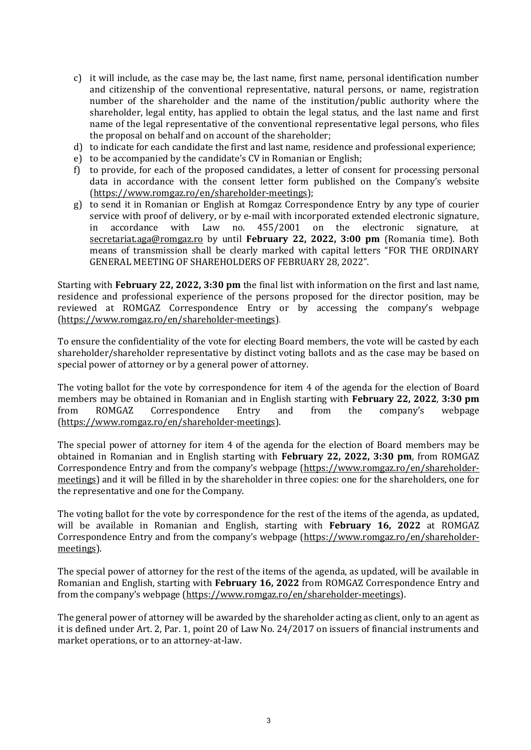- c) it will include, as the case may be, the last name, first name, personal identification number and citizenship of the conventional representative, natural persons, or name, registration number of the shareholder and the name of the institution/public authority where the shareholder, legal entity, has applied to obtain the legal status, and the last name and first name of the legal representative of the conventional representative legal persons, who files the proposal on behalf and on account of the shareholder;
- d) to indicate for each candidate the first and last name, residence and professional experience;
- e) to be accompanied by the candidate's CV in Romanian or English;
- f) to provide, for each of the proposed candidates, a letter of consent for processing personal data in accordance with the consent letter form published on the Company's website [\(https://www.romgaz.ro/en/shareholder-meetings\)](https://www.romgaz.ro/en/shareholder-meetings);
- g) to send it in Romanian or English at Romgaz Correspondence Entry by any type of courier service with proof of delivery, or by e-mail with incorporated extended electronic signature, in accordance with Law no. 455/2001 on the electronic signature, at [secretariat.aga@romgaz.ro](mailto:secretariat.aga%40romgaz.ro) by until **February 22, 2022, 3:00 pm** (Romania time). Both means of transmission shall be clearly marked with capital letters "FOR THE ORDINARY GENERAL MEETING OF SHAREHOLDERS OF FEBRUARY 28, 2022".

Starting with **February 22, 2022, 3:30 pm** the final list with information on the first and last name, residence and professional experience of the persons proposed for the director position, may be reviewed at ROMGAZ Correspondence Entry or by accessing the company's webpage [\(https://www.romgaz.ro/en/shareholder-meetings\)](https://www.romgaz.ro/en/shareholder-meetings).

To ensure the confidentiality of the vote for electing Board members, the vote will be casted by each shareholder/shareholder representative by distinct voting ballots and as the case may be based on special power of attorney or by a general power of attorney.

The voting ballot for the vote by correspondence for item 4 of the agenda for the election of Board members may be obtained in Romanian and in English starting with **February 22, 2022**, **3:30 pm** from ROMGAZ Correspondence Entry and from the company's webpage [\(https://www.romgaz.ro/en/shareholder-meetings\)](https://www.romgaz.ro/en/shareholder-meetings).

The special power of attorney for item 4 of the agenda for the election of Board members may be obtained in Romanian and in English starting with **February 22, 2022, 3:30 pm**, from ROMGAZ Correspondence Entry and from the company's webpage ([https://www.romgaz.ro/en/shareholder](https://www.romgaz.ro/en/shareholder-meetings)[meetings\)](https://www.romgaz.ro/en/shareholder-meetings) and it will be filled in by the shareholder in three copies: one for the shareholders, one for the representative and one for the Company.

The voting ballot for the vote by correspondence for the rest of the items of the agenda, as updated, will be available in Romanian and English, starting with **February 16, 2022** at ROMGAZ Correspondence Entry and from the company's webpage ([https://www.romgaz.ro/en/shareholder](https://www.romgaz.ro/en/shareholder-meetings)[meetings\)](https://www.romgaz.ro/en/shareholder-meetings).

The special power of attorney for the rest of the items of the agenda, as updated, will be available in Romanian and English, starting with **February 16, 2022** from ROMGAZ Correspondence Entry and from the company's webpage ([https://www.romgaz.ro/en/shareholder-meetings\)](https://www.romgaz.ro/en/shareholder-meetings).

The general power of attorney will be awarded by the shareholder acting as client, only to an agent as it is defined under Art. 2, Par. 1, point 20 of Law No. 24/2017 on issuers of financial instruments and market operations, or to an attorney-at-law.